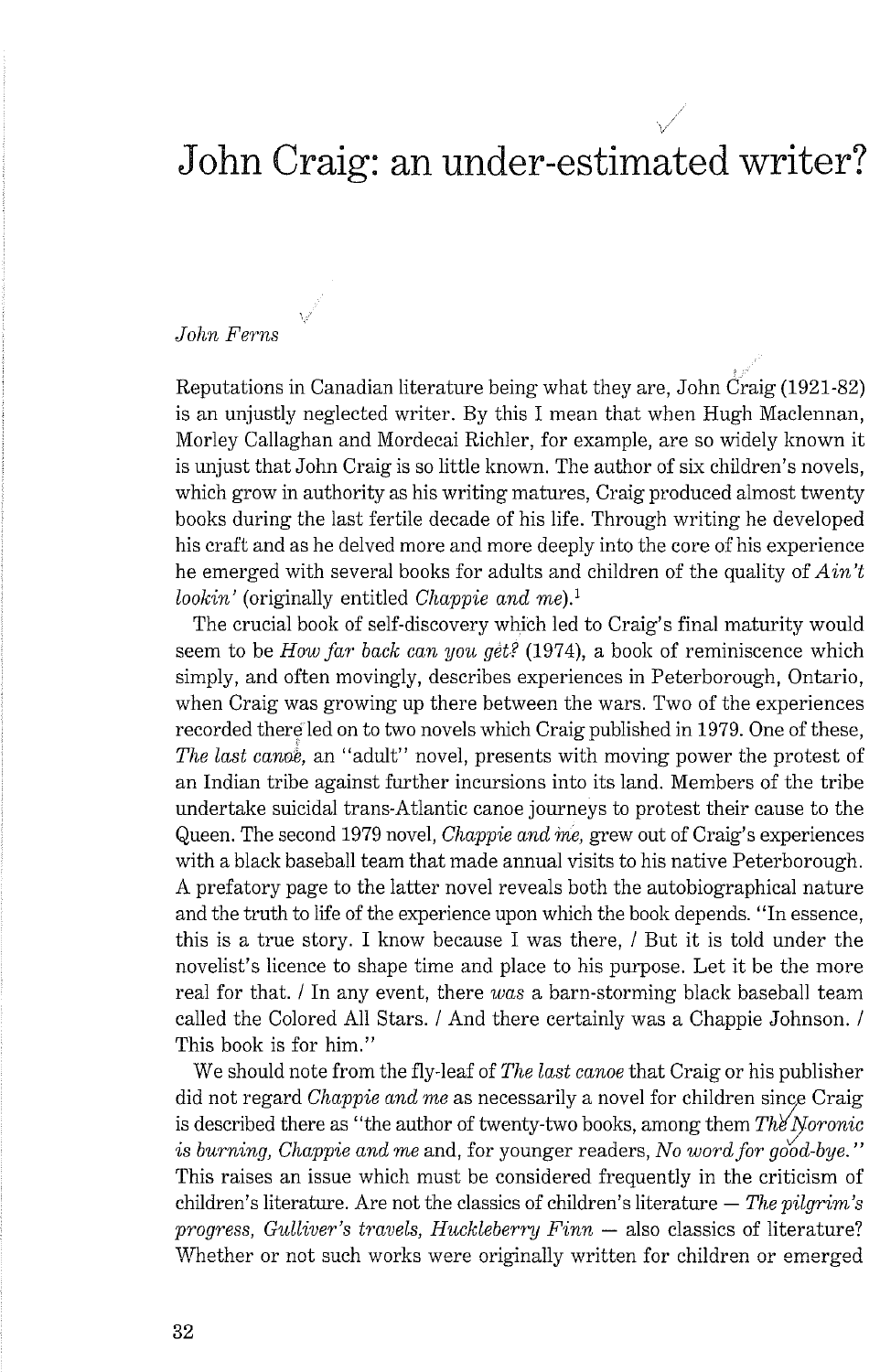# John Craig: an under-estimated writer?

i

### John Ferns

Reputations in Canadian literature being what they are, John  $\overline{C}$ raig (1921-82) is an unjustly neglected writer. By this I mean that when Hugh Maclennan, Morley Callaghan and Mordecai Richler, for example, are so widely known it is unjust that John Craig is so little known. The author of six children's novels, which grow in authority as his writing matures, Craig produced almost twenty books during the last fertile decade of his life. Through writing he developed his cral't and as he delved more and more deeply into the core of his experience he emerged with several books for adults and children of the quality of  $A\dot{m}t$ lookin' (originally entitled *Chappie and me*).<sup>1</sup>

The crucial book of self-discovery which led to Craig's final maturity would seem to be How far back can you get? (1974), a book of reminiscence which simply, and often movingly, describes experiences in Peterborough, Ontario, when Craig was growing up there between the wars. Two of the experiences recorded there led on to two novels which Craig published in 1979. One of these, The last canoe, an "adult" novel, presents with moving power the protest of an Indian tribe against further incursions into its land. Members of the tribe undertake suicidal trans-Atlantic canoe journeys to protest their cause to the Queen. The second 1979 novel, *Chappie and me*, grew out of Craig's experiences with a black baseball team that made annual visits to his native Peterborough. A prefatory page to the latter novel reveals both the autobiographical nature and the truth to life of the experience upon which the book depends. "In essence, this is a true story. I know because I was there, 1 But it is told under the novelist's licence to shape time and place to his purpose. Let it be the more real for that. / In any event, there was a barn-storming black baseball team called the Colored All Stars. / And there certainly was a Chappie Johnson. / This book is for him."

We should note from the fly-leaf of The last canoe that Craig or his publisher did not regard Chappie and me as necessarily a novel for children since Craig is described there as "the author of twenty-two books, among them  $Th\ell' Nononic$ is burning, Chappie and me and, for younger readers, No word for good-bye." This raises an issue which must be considered frequently in the criticism of children's literature. Are not the classics of children's literature  $-$  The pilgrim's children's literature. Are not the classics of children's literature  $-$  The pilgrim's progress, Gulliver's travels, Huckleberry Finn  $-$  also classics of literature? Whether or not such works were originally written for children or emerged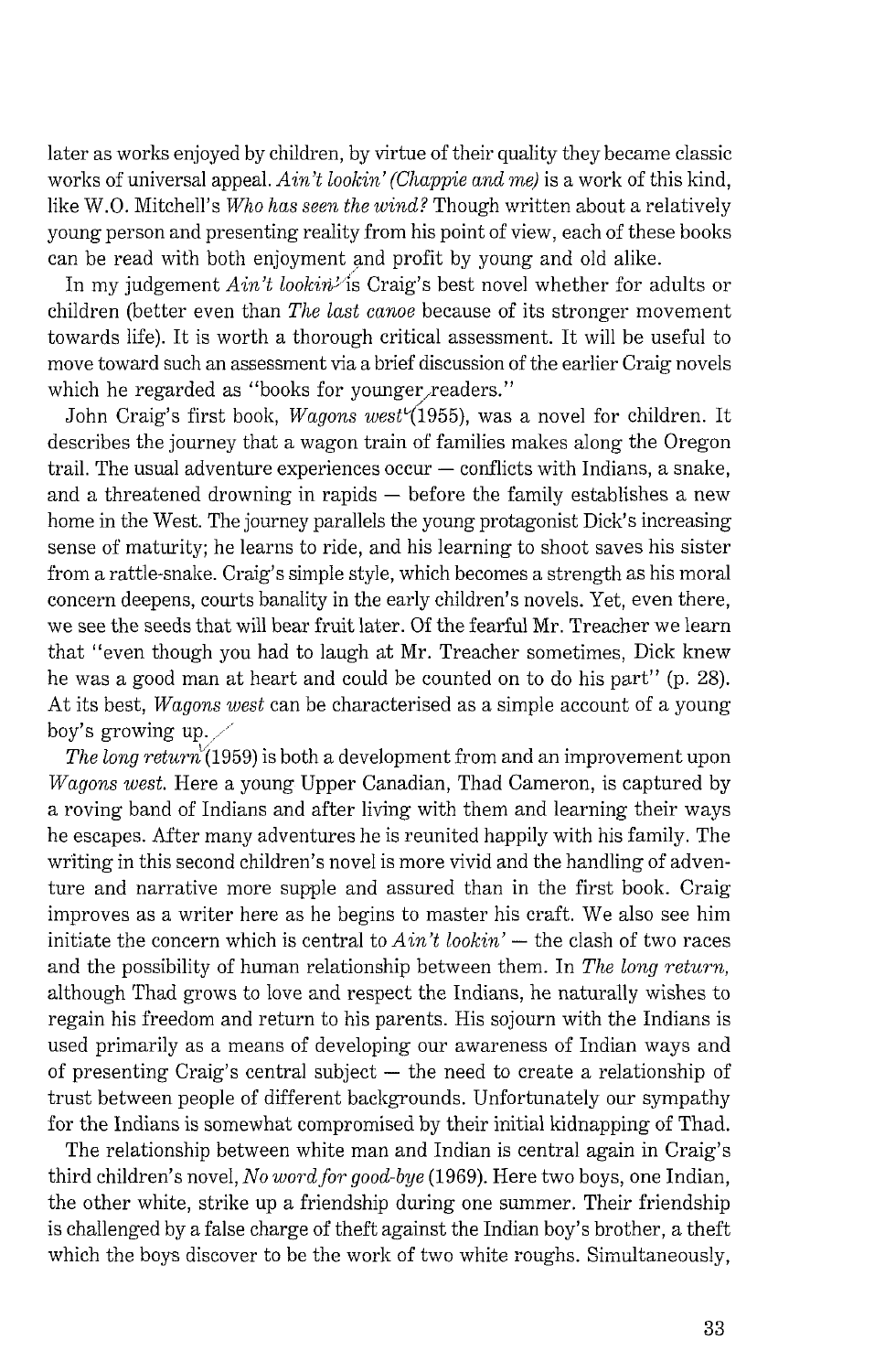later as works enjoyed by children, by virtue of their quality they became classic works of universal appeal. *Ain't lookin' (Chappie and me)* is a work of this kind, like W.O. Mitchell's *Who has seen the wind?* Though written about a relatively young person and presenting reality from his point of view, each of these books can be read with both enjoyment and profit by young and old alike.

In my judgement *Ain't lookin'* is Craig's best novel whether for adults or children (better even than *The last canoe* because of its stronger movement towards life). It is worth a thorough critical assessment. It will be useful to move toward such an assessment via a brief discussion of the earlier Craig novels which he regarded as "books for younger readers."

John Craig's first book, *Wagons west*<sup>1</sup>(1955), was a novel for children. It describes the journey that a wagon train of families makes along the Oregon  $train$ . The usual adventure experiences occur  $-$  conflicts with Indians, a snake, and a threatened drowning in rapids  $-$  before the family establishes a new home in the West. The journey parallels the young protagonist Dick's increasing sense of maturity; he learns to ride, and his learning to shoot saves his sister from a rattle-snake. Craig's simple style, which becomes a strength as his moral concern deepens, courts banality in the early children's novels. Yet, even there, we see the seeds that will bear fruit later. Of the fearful Mr. Treacher we learn that "even though you had to laugh at Mr. Treacher sometimes, Dick knew he was a good man at heart and could be counted on to do his part" (p. 28). At its best, *Wagons west* can be characterised as a simple account of a young boy's growing up.

*The long return*<sup> $(1959)$  is both a development from and an improvement upon</sup> *Wagons west.* Here a young Upper Canadian, Thad Cameron, is captured by a roving band of Indians and after living with them and learning their ways he escapes. After many adventures he is reunited happily with his family. The writing in this second children's novel is more vivid and the handling of adventure and narrative more supple and assured than in the first book. Craig improves as a writer here as he begins to master his craft. We also see him initiate the concern which is central to  $A\dot{m}'t$  lookin'  $-$  the clash of two races and the possibility of human relationship between them. In *The long return,*  although Thad grows to love and respect the Indians, he naturally wishes to regain his freedom and return to his parents. His sojourn with the Indians is used primarily as a means of developing our awareness of Indian ways and of presenting Craig's central subject  $-$  the need to create a relationship of trust between people of different backgrounds. Unfortunately our sympathy for the Indians is somewhat compromised by their initial kidnapping of Thad.

The relationship between white man and Indian is central again in Craig's third children's novel, *No word for good-bye (1969).* Here two boys, one Indian, the other white, strike up a friendship during one summer. Their friendship is challenged by a false charge of theft against the Indian boy's brother, a theft which the boys discover to be the work of two white roughs. Simultaneously,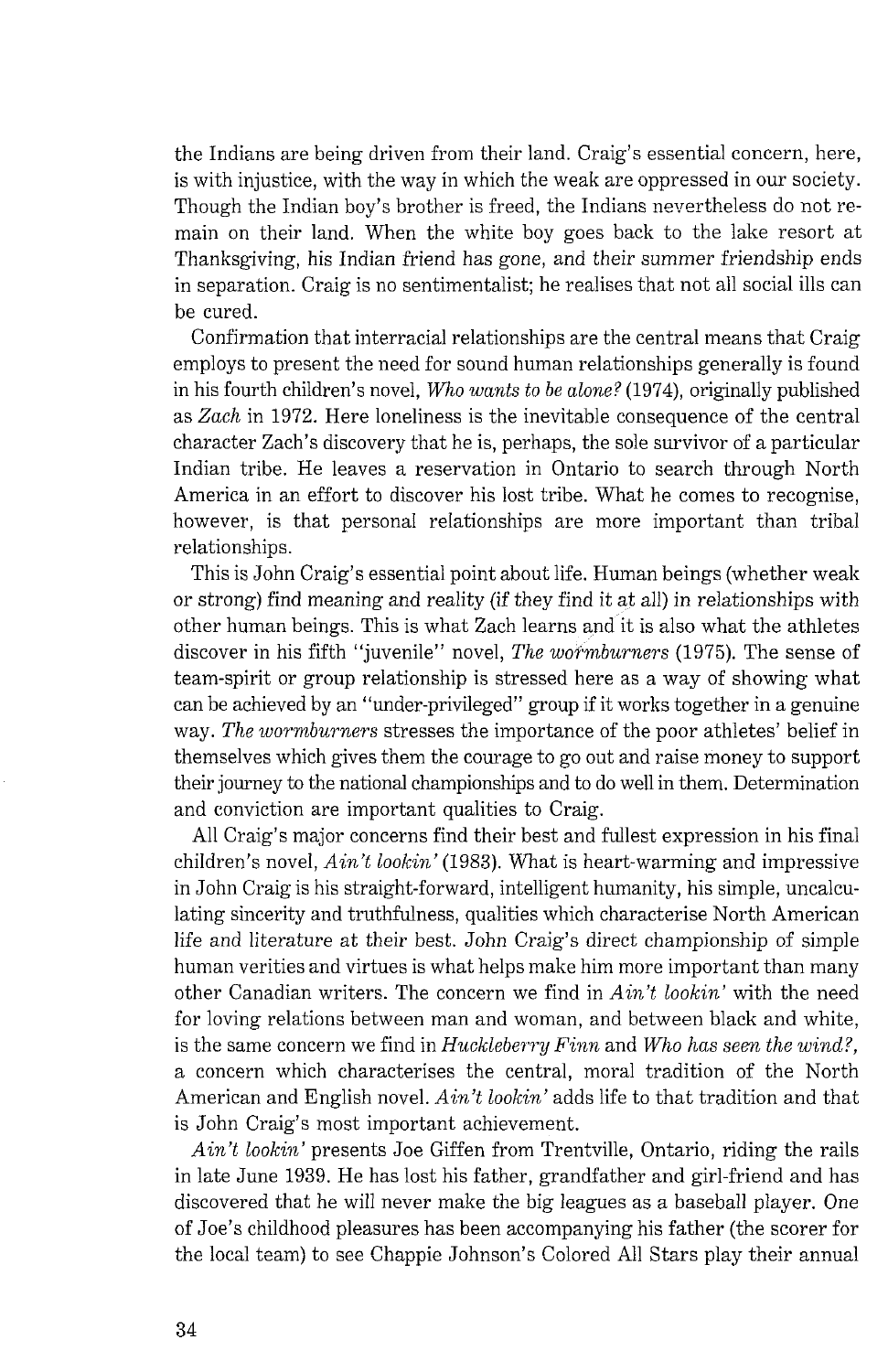the Indians are being driven from their land. Craig's essential concern, here, is with injustice, with the way in which the weak are oppressed in our society. Though the Indian boy's brother is freed, the Indians nevertheless do not remain on their land. When the white boy goes back to the lake resort at Thanksgiving, his Indian friend has gone, and their summer friendship ends in separation. Craig is no sentimentalist; he realises that not all social ills can be cured.

Confirmation that interracial relationships are the central means that Craig employs to present the need for sound human relationships generally is found in his fourth children's novel, *Who wants to be alone?* (1974), originally published as *Zach* in 1972. Here loneliness is the inevitable consequence of the central character Zach's discovery that he is, perhaps, the sole survivor of a particular Indian tribe. He leaves a reservation in Ontario to search through North America in an effort to discover his lost tribe. What he comes to recognise, however, is that personal relationships are more important than tribal relationships.

This is John Craig's essential point about life. Human beings (whether weak or strong) find meaning and reality (if they find it at all) in relationships with other human beings. This is what Zach learns and it is also what the athletes discover in his fifth "juvenile" novel, *The wormburners* (1975). The sense of team-spirit or group relationship is stressed here as a way of showing what can be achieved by an "under-privileged" group if it works together in a genuine way. *The wormburners* stresses the importance of the poor athletes' belief in themselves which gives them the courage to go out and raise money to support their journey to the national championships and to do well in them. Determination and conviction are important qualities to Craig.

All Craig's major concerns find their best and fullest expression in his final children's novel, *Ain't lookin'* (1983). What is heart-warming and impressive in John Craig is his straight-forward, intelligent humanity, his simple, uncalculating sincerity and truthfulness, qualities which characterise North American life and literature at their best. John Craig's direct championship of simple human verities and virtues is what helps make him more important than many other Canadian writers. The concern we find in *Ain't lookin'* with the need for loving relations between man and woman, and between black and white, is the same concern we find in *Huckleberry Finn* and *Who has seen the wind?*, a concern which characterises the central, moral tradition of the North American and English novel. *Ain't lookin'* adds life to that tradition and that is John Craig's most important achievement.

*Ain't lookin'* presents Joe Giffen from Trentville, Ontario, riding the rails in late June 1939. He has lost his father, grandfather and girl-friend and has discovered that he will never make the big leagues as a baseball player. One of Joe's childhood pleasures has been accompanying his father (the scorer for the local team) to see Chappie Johnson's Colored All Stars play their annual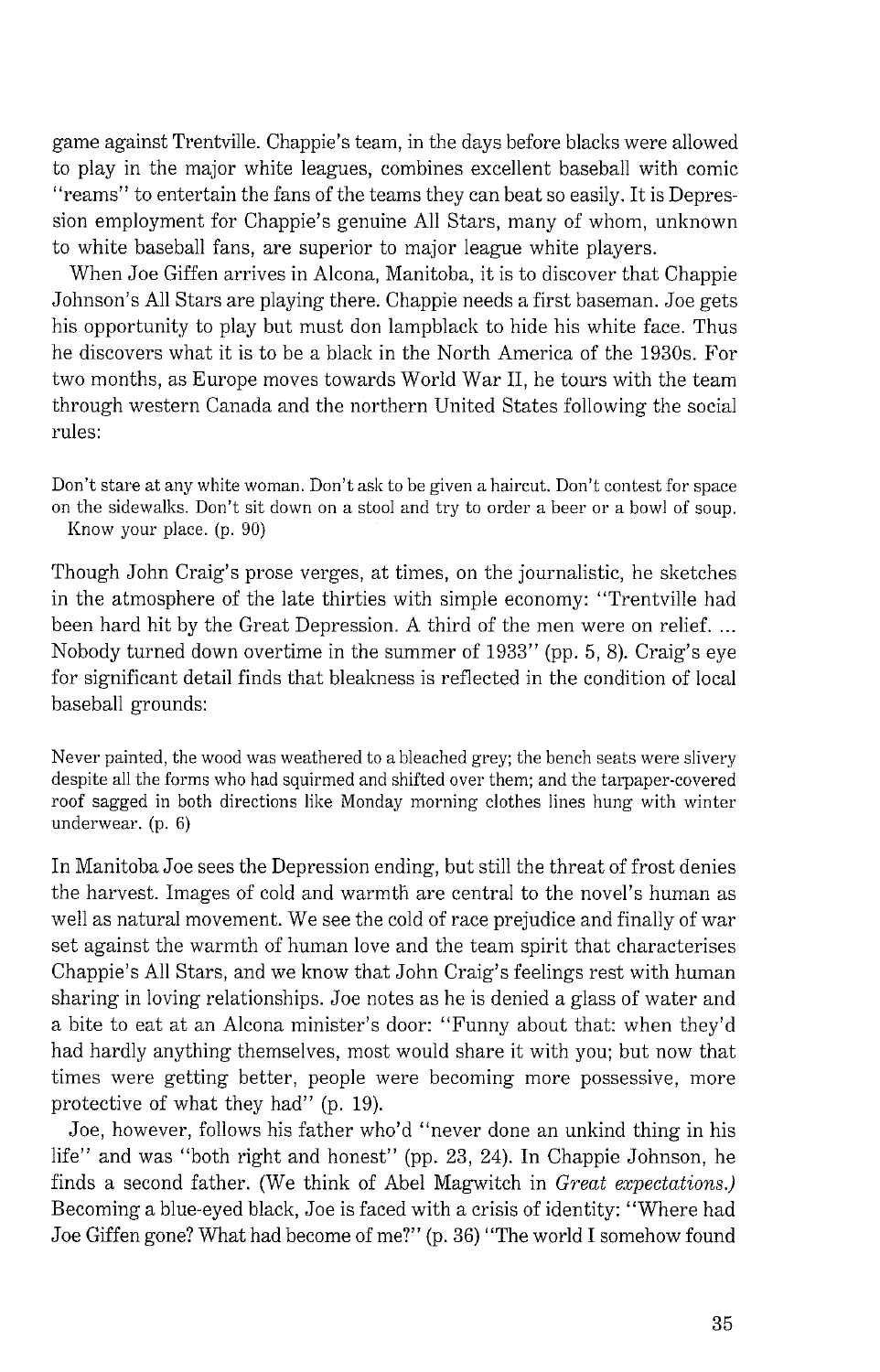game against Trentville. Chappie's team, in the days before blacks were allowed to play in the major white leagues, combines excellent baseball with comic "reams" to entertain the fans of the teams they can beat so easily. It is Depression employment for Chappie's genuine All Stars, many of whom, unknown to white baseball fans, are superior to major league white players.

When Joe Giffen arrives in Alcona, Manitoba, it is to discover that Chappie Johnson's All Stars are playing there. Chappie needs a first baseman. Joe gets his opportunity to play but must don lampblack to hide his white face. Thus he discovers what it is to be a black in the North America of the 1930s. For two months, as Europe moves towards World War 11, he tours with the team through western Canada and the northern United States following the social rules:

Don't stare at any white woman. Don't ask to be given a haircut. Don't contest for space on the sidewalks. Don't sit down on a stool and try to order a beer or a bowl of soup. Know your place. (p. 90)

Though John Craig's prose verges, at times, on the journalistic, he sketches in the atmosphere of the late thirties with simple economy: "Trentville had been hard hit by the Great Depression. A third of the men were on relief. ... Nobody turned down overtime in the summer of 1933" (pp. 5, 8). Craig's eye for significant detail finds that bleakness is reflected in the condition of local baseball grounds:

Never painted, the wood was weathered to a bleached grey; the bench seats were slivery despite all the forms who had squirmed and shifted over them; and the tarpaper-covered roof sagged in both directions like Monday morning clothes lines hung with winter underwear. (p. 6)

In Manitoba Joe sees the Depression ending, but still the threat of frost denies the harvest. Images of cold and warmth are central to the novel's human as well as natural movement. We see the cold of race prejudice and finally of war set against the warmth of human love and the team spirit that characterises Chappie's All Stars, and we know that John Craig's feelings rest with human sharing in loving relationships. Joe notes as he is denied a glass of water and a bite to eat at an Alcona minister's door: "Funny about that: when they'd had hardly anything themselves, most would share it with you; but now that times were getting better, people were becoming more possessive, more protective of what they had" (p. 19).

Joe, however, follows his father who'd "never done an unkind thing in his life" and was "both right and honest" (pp. 23, 24). In Chappie Johnson, he finds a second father. (We think of Abel Magwitch in *Great expectations.)*  Becoming a blue-eyed black, Joe is faced with a crisis of identity: "Where had Joe Giffen gone? What had become of me?" (p. 36) "The world I somehow found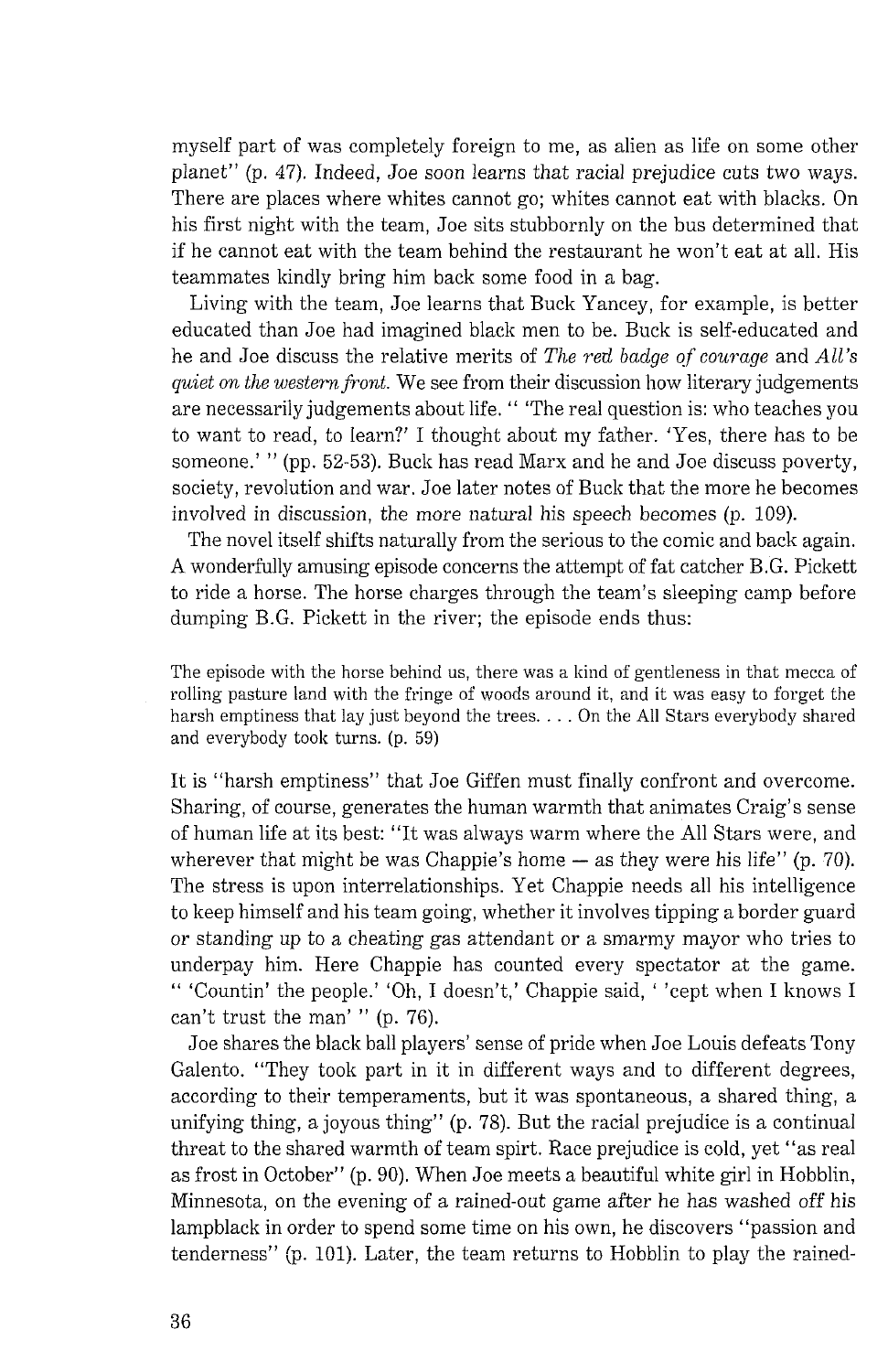myself part of was completely foreign to me, as alien as life on some other planet" (p. 47). Indeed, Joe soon learns that racial prejudice cuts two ways. There are places where whites cannot go; whites cannot eat with blacks. On his first night with the team, Joe sits stubbornly on the bus determined that if he cannot eat with the team behind the restaurant he won't eat at all. His teammates kindly bring him back some food in a bag.

Living with the team, Joe learns that Buck Yancey, for example, is better educated than Joe had imagined black men to be. Buck is self-educated and he and Joe discuss the relative merits of *The red badge of courage* and *All's quiet on the western front.* We see from their discussion how literary judgements are necessarily judgements about life. " 'The real question is: who teaches you to want to read, to learn?' I thought about my father. 'Yes, there has to be someone.' " (pp. 52-53). Buck has read Marx and he and Joe discuss poverty, society, revolution and war. Joe later notes of Buck that the more he becomes involved in discussion, the more natural his speech becomes (p. 109).

The novel itself shifts naturally from the serious to the comic and back again. A wonderfully amusing episode concerns the attempt of fat catcher B.G. Pickett to ride a horse. The horse charges through the team's sleeping camp before dumping B.G. Pickett in the river; the episode ends thus:

The episode with the horse behind us, there was a kind of gentleness in that mecca of rolling pasture land with the fringe of woods around it, and it was easy to forget the harsh emptiness that lay just beyond the trees. . . . On the All Stars everybody shared and everybody took turns. (p. 59)

It is "harsh emptiness" that Joe Giffen must finally confront and overcome. Sharing, of course, generates the human warmth that animates Craig's sense of human life at its best: "It was always warm where the All Stars were, and wherever that might be was Chappie's home — as they were his life'' (p. 70). The stress is upon interrelationships. Yet Chappie needs all his intelligence to keep himself and his team going, whether it involves tipping a border guard or standing up to a cheating gas attendant or a smarmy mayor who tries to underpay him. Here Chappie has counted every spectator at the game. " 'Countin' the people.' 'Oh, I doesn't,' Chappie said, ' 'cept when I knows I can't trust the man' " (p. 76).

Joe shares the black ball players' sense of pride when Joe Louis defeats Tony Galento. "They took part in it in different ways and to different degrees, according to their temperaments, but it was spontaneous, a shared thing, a unifying thing, a joyous thing" (p. 78). But the racial prejudice is a continual threat to the shared warmth of team spirt. Race prejudice is cold, yet "as real as frost in October" (p. 90). When Joe meets a beautiful white girl in Hobblin, Minnesota, on the evening of a rained-out game after he has washed off his lampblack in order to spend some time on his own, he discovers "passion and tenderness" (p. 101). Later, the team returns to Hobblin to play the rained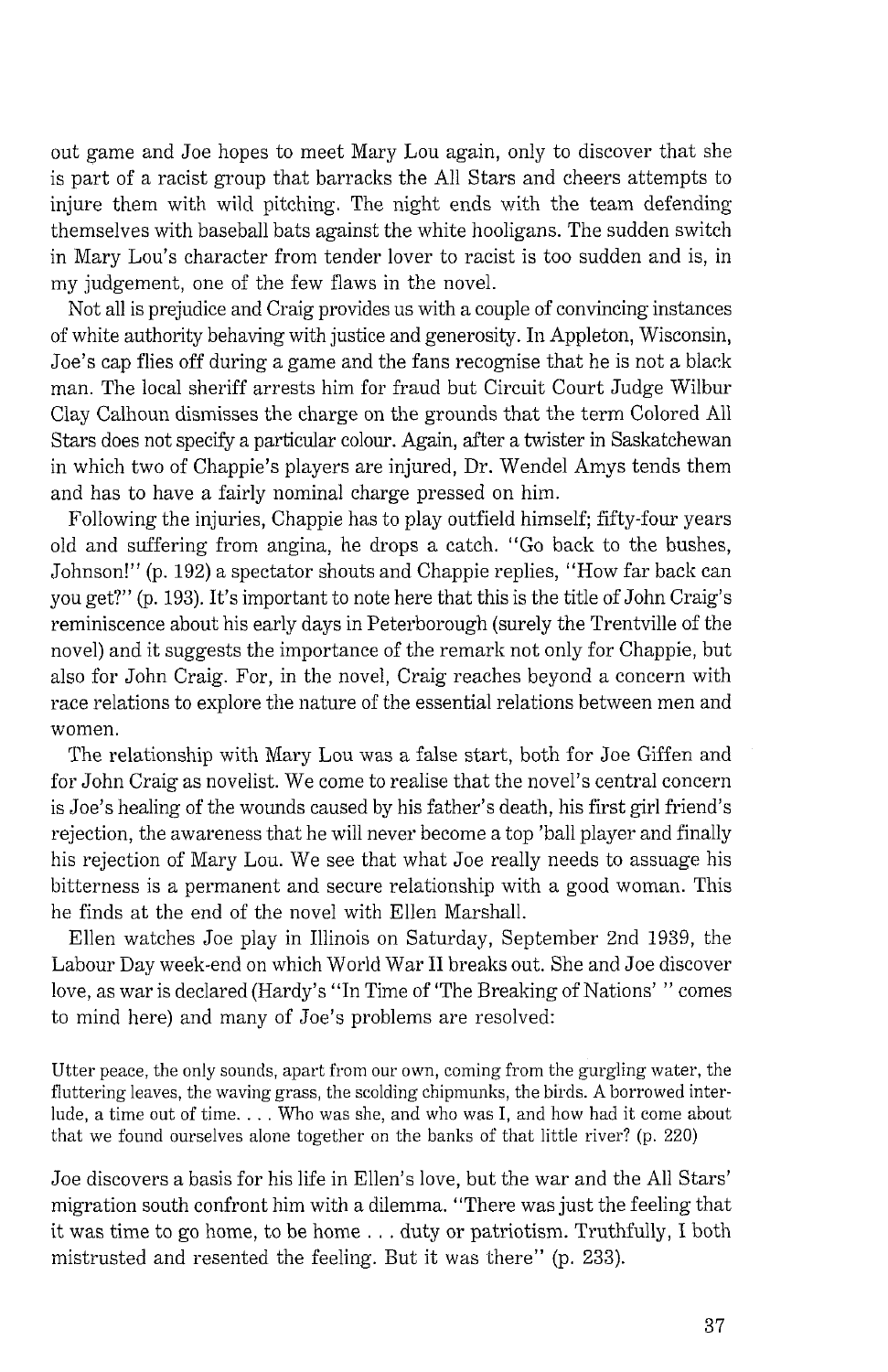out game and Joe hopes to meet Mary Lou again, only to discover that she is part of a racist group that barracks the All Stars and cheers attempts to injure them with wild pitching. The night ends with the team defending themselves with baseball bats against the white hooligans. The sudden switch in Mary Lou's character from tender lover to racist is too sudden and is, in my judgement, one of the few flaws in the novel.

Not all is prejudice and Craig provides us with a couple of convincing instances of white authority behaving with justice and generosity. In Appleton, Wisconsin, Joe's cap flies off during a game and the fans recognise that he is not a black man. The local sheriff arrests him for fraud but Circuit Court Judge Wilbur Clay Calhoun dismisses the charge on the grounds that the term Colored All Stars does not speclfy a particular colow. Again, after a twister in Saskatchewan in which two of Chappie's players are injured, Dr. Wendel Amys tends them and has to have a fairly nominal charge pressed on him.

Following the injuries, Chappie has to play outfield himself; fifty-four years old and suffering from angina, he drops a catch. "Go back to the bushes, Johnson!" (p. 192) a spectator shouts and Chappie replies, "How far back can you get?" (p. 193). It's important to note here that this is the title of John Craig's reminiscence about his early days in Peterborough (surely the Trentville of the novel) and it suggests the importance of the remark not only for Chappie, but also for John Craig. For, in the novel, Craig reaches beyond a concern with race relations to explore the nature of the essential relations between men and women.

The relationship with Mary Lou was a false start, both for Joe Giffen and for John Craig as novelist. We come to realise that the novel's central concern is Joe's healing of the wounds caused by his father's death, his first girl friend's rejection, the awareness that he will never become a top 'ball player and finally his rejection of Mary Lou. We see that what Joe really needs to assuage his bitterness is a permanent and secure relationship with a good woman. This he finds at the end of the novel with Ellen Marshall.

Ellen watches Joe play in Illinois on Saturday, September 2nd 1939, the Labour Day week-end on which World War I1 breaks out. She and Joe discover love, as war is declared (Hardy's "In Time of 'The Breaking of Nations' " comes to mind here) and many of Joe's problems are resolved:

*Utter peace, the only sounds, apart from our own, coming from the gurgling water, the fluttering leaves, the waving grass, the scolding chipmunks, the birds. A borrowed interlude, a time out of time.* . . . *Who was she, and who was I, and how had it come about*  that we found ourselves alone together on the banks of that little river? (p. 220)

Joe discovers a basis for his life in Ellen's love, but the war and the All Stars' migration south confront him with a dilemma. "There was just the feeling that it was time to go home, to be home . . . duty or patriotism. Truthfully, I both mistrusted and resented the feeling. But it was there" (p. 233).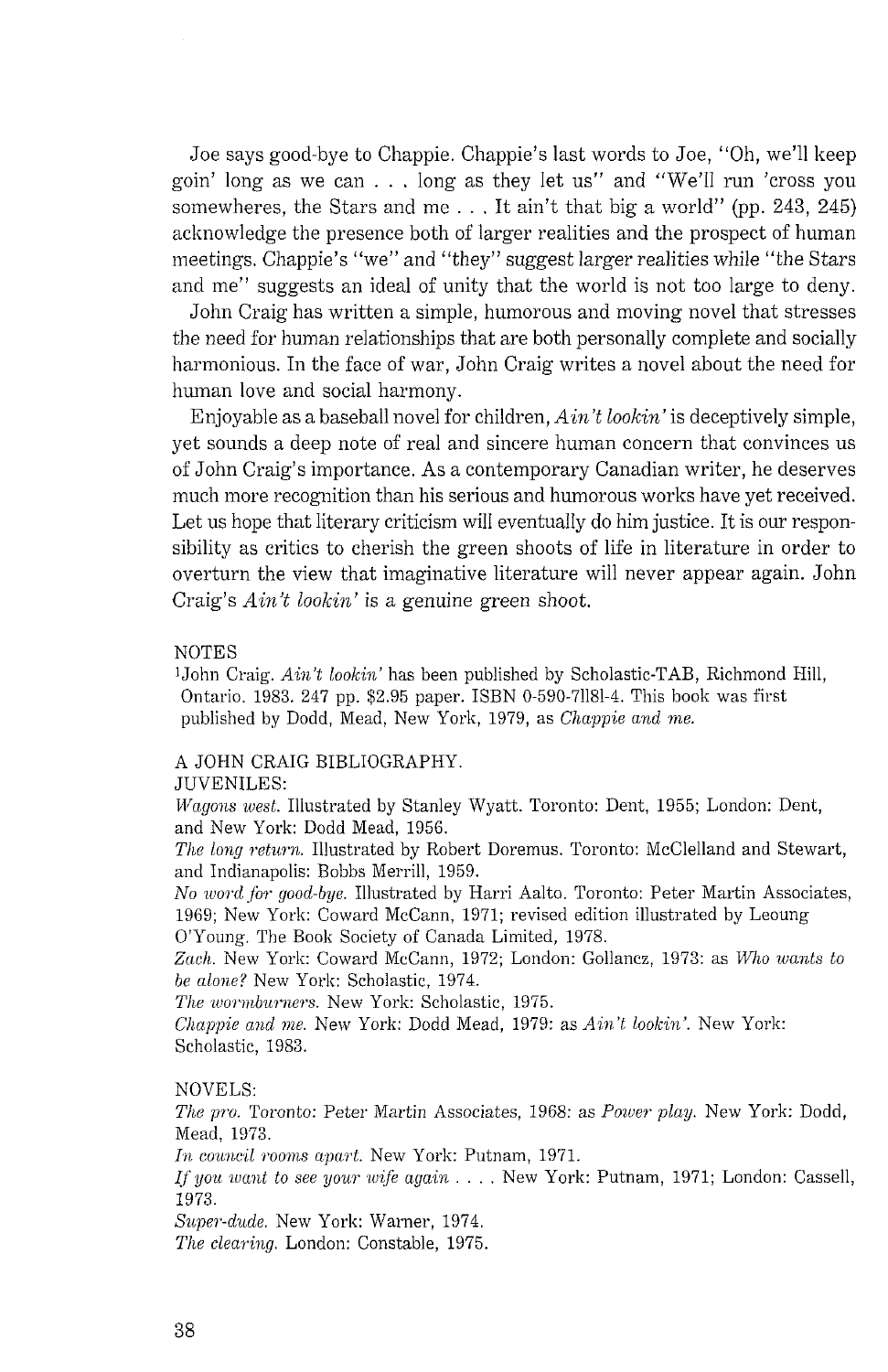Joe says good-bye to Chappie. Chappie's last words to Joe, "Oh, we'll keep goin' long as we can . . . long as they let us" and "We'll run 'cross you somewheres, the Stars and me  $\ldots$ , It ain't that big a world" (pp. 243, 245) acknowledge the presence both of larger realities and the prospect of human meetings. Chappie's "we" and "they" suggest larger realities while "the Stars and me" suggests an ideal of unity that the world is not too large to deny.

John Craig has written a simple, humorous and moving novel that stresses the need for human relationships that are both personally complete and socially harmonious. In the face of war, John Craig writes a novel about the need for human love and social harmony.

Enjoyable as a baseball novel for children,  $A$ *in't lookin'* is deceptively simple, yet sounds a deep note of real and sincere human concern that convinces us of John Craig's importance. As a contemporary Canadian writer, he deserves much more recognition than his serious and humorous works have yet received. Let us hope that literary criticism will eventually do him justice. It is our responsibility as critics to cherish the green shoots of life in literature in order to overturn the view that imaginative literature will never appear again. John Craig's  $A\in$ <sup>*it lookin'* is a genuine green shoot.</sup>

#### NOTES

<sup>1</sup>John Craig. *Ain't lookin'* has been published by Scholastic-TAB, Richmond Hill, Ontario. 1983. 247 pp. \$2.95 paper. ISBN 0-590-71181-4. This book was first published by Dodd, Mead, New York, 1979, as *Chappie and me.* 

#### A JOHN CRAIG BIBLIOGRAPHY.

#### JUVENILES:

*UTn,go?is ,toest.* Illustrated by Stanley Wyatt. Toronto: Dent, 1955; London: Dent, and New York: Dodd Mead, 1956.

The long return. Illustrated by Robert Doremus. Toronto: McClelland and Stewart, and Indianapolis: Bobbs Merrill, 1959.

*No word for good-bye.* Illustrated by Harri Aalto. Toronto: Peter Martin Associates, 1969; New York: Coward McCann, 1971; revised edition illustrated by Leoung O'Young. The Booli Society of Canada Limited, 1978.

Zach. New York: Coward McCann, 1972; London: Gollancz, 1973: as *Who wants to be nlo~ae?* New York: Scholastic, 1974.

*The wormburners.* New York: Scholastic, 1975.

*Chappie and me. New York: Dodd Mead, 1979: as <i>Ain't lookin'*. New York: Scholastic. 1983.

#### NOVELS:

*The pro.* Toronto: Peter Martin Associates, 1968: as *Power play*. New York: Dodd, Mead, 1973.

*In council rooms apart.* New York: Putnam, 1971.

If you want to see your wife again . . . . New York: Putnam, 1971; London: Cassell, 1973.

*Sz~pe?,-d?~de.* New York: Warner, 1974.

*The clearing.* London: Constable, 1975.